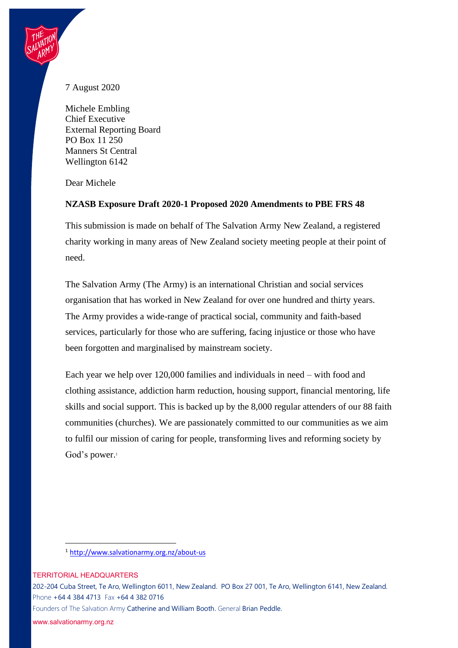## 7 August 2020

Michele Embling Chief Executive External Reporting Board PO Box 11 250 Manners St Central Wellington 6142

Dear Michele

## **NZASB Exposure Draft 2020-1 Proposed 2020 Amendments to PBE FRS 48**

This submission is made on behalf of The Salvation Army New Zealand, a registered charity working in many areas of New Zealand society meeting people at their point of need.

The Salvation Army (The Army) is an international Christian and social services organisation that has worked in New Zealand for over one hundred and thirty years. The Army provides a wide-range of practical social, community and faith-based services, particularly for those who are suffering, facing injustice or those who have been forgotten and marginalised by mainstream society.

Each year we help over 120,000 families and individuals in need – with food and clothing assistance, addiction harm reduction, housing support, financial mentoring, life skills and social support. This is backed up by the 8,000 regular attenders of our 88 faith communities (churches). We are passionately committed to our communities as we aim to fulfil our mission of caring for people, transforming lives and reforming society by God's power.<sup>1</sup>

<sup>1</sup> <http://www.salvationarmy.org.nz/about-us>

TERRITORIAL HEADQUARTERS

202-204 Cuba Street, Te Aro, Wellington 6011, New Zealand. PO Box 27 001, Te Aro, Wellington 6141, New Zealand. Phone +64 4 384 4713 Fax +64 4 382 0716

Founders of The Salvation Army Catherine and William Booth. General Brian Peddle.

www.salvationarmy.org.nz